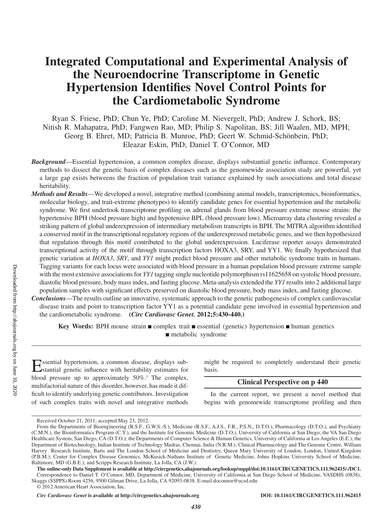# **Integrated Computational and Experimental Analysis of the Neuroendocrine Transcriptome in Genetic Hypertension Identifies Novel Control Points for the Cardiometabolic Syndrome**

Ryan S. Friese, PhD; Chun Ye, PhD; Caroline M. Nievergelt, PhD; Andrew J. Schork, BS; Nitish R. Mahapatra, PhD; Fangwen Rao, MD; Philip S. Napolitan, BS; Jill Waalen, MD, MPH; Georg B. Ehret, MD; Patricia B. Munroe, PhD; Geert W. Schmid-Schönbein, PhD; Eleazar Eskin, PhD; Daniel T. O'Connor, MD

- *Background*—Essential hypertension, a common complex disease, displays substantial genetic influence. Contemporary methods to dissect the genetic basis of complex diseases such as the genomewide association study are powerful, yet a large gap exists betweens the fraction of population trait variance explained by such associations and total disease heritability.
- *Methods and Results*—We developed a novel, integrative method (combining animal models, transcriptomics, bioinformatics, molecular biology, and trait-extreme phenotypes) to identify candidate genes for essential hypertension and the metabolic syndrome. We first undertook transcriptome profiling on adrenal glands from blood pressure extreme mouse strains: the hypertensive BPH (blood pressure high) and hypotensive BPL (blood pressure low). Microarray data clustering revealed a striking pattern of global underexpression of intermediary metabolism transcripts in BPH. The MITRA algorithm identified a conserved motif in the transcriptional regulatory regions of the underexpressed metabolic genes, and we then hypothesized that regulation through this motif contributed to the global underexpression. Luciferase reporter assays demonstrated transcriptional activity of the motif through transcription factors HOXA3, SRY, and YY1. We finally hypothesized that genetic variation at *HOXA3*, *SRY*, and *YY1* might predict blood pressure and other metabolic syndrome traits in humans. Tagging variants for each locus were associated with blood pressure in a human population blood pressure extreme sample with the most extensive associations for *YY1* tagging single nucleotide polymorphism rs11625658 on systolic blood pressure, diastolic blood pressure, body mass index, and fasting glucose. Meta-analysis extended the *YY1* results into 2 additional large population samples with significant effects preserved on diastolic blood pressure, body mass index, and fasting glucose.
- *Conclusions*—The results outline an innovative, systematic approach to the genetic pathogenesis of complex cardiovascular disease traits and point to transcription factor YY1 as a potential candidate gene involved in essential hypertension and the cardiometabolic syndrome. **(***Circ Cardiovasc Genet.* **2012;5:430-440.)**

**Key Words:** BPH mouse strain ■ complex trait ■ essential (genetic) hypertension ■ human genetics ■ metabolic syndrome

Essential hypertension, a common disease, displays substantial genetic influence with heritability estimates for blood pressure up to approximately  $50\%$ .<sup>1</sup> The complex, multifactorial nature of this disorder, however, has made it difficult to identify underlying genetic contributors. Investigation of such complex traits with novel and integrative methods

might be required to completely understand their genetic basis.

## **Clinical Perspective on p 440**

In the current report, we present a novel method that begins with genomewide transcriptome profiling and then

Received October 21, 2011; accepted May 23, 2012.

From the Departments of Bioengineering (R.S.F., G.W.S.-S.), Medicine (R.S.F., A.J.S., F.R., P.S.N., D.T.O.), Pharmacology (D.T.O.), and Psychiatry (C.M.N.), the Bioinformatics Program (C.Y.), and the Institute for Genomic Medicine (D.T.O.), University of California at San Diego; the VA San Diego Healthcare System, San Diego, CA (D.T.O.); the Departments of Computer Science & Human Genetics, University of California at Los Angeles (E.E.); the Department of Biotechnology, Indian Institute of Technology Madras, Chennai, India (N.R.M.); Clinical Pharmacology and The Genome Centre, William Harvey Research Institute, Barts and The London School of Medicine and Dentistry, Queen Mary University of London, London, United Kingdom (P.B.M.); Center for Complex Disease Genomics, McKusick-Nathans Institute of Genetic Medicine, Johns Hopkins University School of Medicine, Baltimore, MD (G.B.E.); and Scripps Research Institute, La Jolla, CA (J.W.).

**The online-only Data Supplement is available at http://circgenetics.ahajournals.org/lookup/suppl/doi:10.1161/CIRCGENETICS.111.962415/-/DC1.** Correspondence to Daniel T. O'Connor, MD, Department of Medicine, University of California at San Diego School of Medicine, VASDHS (0838), Skaggs (SSPPS) Room 4256, 9500 Gilman Drive, La Jolla, CA 92093-0838. E-mail doconnor@ucsd.edu

<sup>© 2012</sup> American Heart Association, Inc.

*Circ Cardiovasc Genet* **is available at http://circgenetics.ahajournals.org DOI: 10.1161/CIRCGENETICS.111.962415**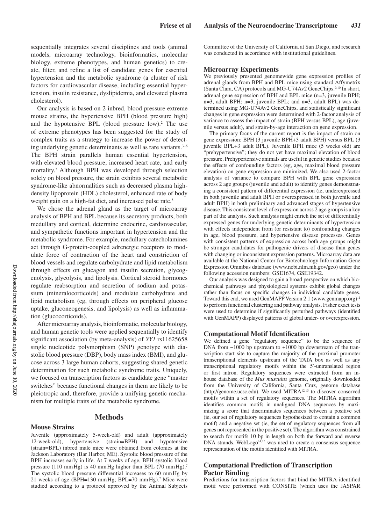sequentially integrates several disciplines and tools (animal models, microarray technology, bioinformatics, molecular biology, extreme phenotypes, and human genetics) to create, filter, and refine a list of candidate genes for essential hypertension and the metabolic syndrome (a cluster of risk factors for cardiovascular disease, including essential hypertension, insulin resistance, dyslipidemia, and elevated plasma cholesterol).

Our analysis is based on 2 inbred, blood pressure extreme mouse strains, the hypertensive BPH (blood pressure high) and the hypotensive BPL (blood pressure low).<sup>2</sup> The use of extreme phenotypes has been suggested for the study of complex traits as a strategy to increase the power of detecting underlying genetic determinants as well as rare variants.<sup>3-6</sup> The BPH strain parallels human essential hypertension, with elevated blood pressure, increased heart rate, and early mortality.7 Although BPH was developed through selection solely on blood pressure, the strain exhibits several metabolic syndrome-like abnormalities such as decreased plasma highdensity lipoprotein (HDL) cholesterol, enhanced rate of body weight gain on a high-fat diet, and increased pulse rate.<sup>8</sup>

We chose the adrenal gland as the target of microarray analysis of BPH and BPL because its secretory products, both medullary and cortical, determine endocrine, cardiovascular, and sympathetic functions important in hypertension and the metabolic syndrome. For example, medullary catecholamines act through G-protein-coupled adrenergic receptors to modulate force of contraction of the heart and constriction of blood vessels and regulate carbohydrate and lipid metabolism through effects on glucagon and insulin secretion, glycogenolysis, glycolysis, and lipolysis. Cortical steroid hormones regulate reabsorption and secretion of sodium and potassium (mineralocorticoids) and modulate carbohydrate and lipid metabolism (eg, through effects on peripheral glucose uptake, gluconeogenesis, and lipolysis) as well as inflammation (glucocorticoids).

After microarray analysis, bioinformatic, molecular biology, and human genetic tools were applied sequentially to identify significant association (by meta-analysis) of *YY1* rs11625658 single nucleotide polymorphism (SNP) genotype with diastolic blood pressure (DBP), body mass index (BMI), and glucose across 3 large human cohorts, suggesting shared genetic determination for such metabolic syndrome traits. Uniquely, we focused on transcription factors as candidate gene "master switches" because functional changes in them are likely to be pleiotropic and, therefore, provide a unifying genetic mechanism for multiple traits of the metabolic syndrome.

## **Methods**

#### **Mouse Strains**

Juvenile (approximately 5-week-old) and adult (approximately 12-week-old), hypertensive (strain=BPH) and hypotensive (strain=BPL) inbred male mice were obtained from colonies at the Jackson Laboratory (Bar Harbor, ME). Systolic blood pressure of the BPH increases early in life. At 7 weeks of age, BPH systolic blood pressure (110 mmHg) is 40 mmHg higher than BPL (70 mmHg).<sup>7</sup> The systolic blood pressure differential increases to 60 mmHg by 21 weeks of age (BPH=130 mmHg; BPL=70 mmHg).7 Mice were studied according to a protocol approved by the Animal Subjects

Committee of the University of California at San Diego, and research was conducted in accordance with institutional guidelines.

#### **Microarray Experiments**

We previously presented genomewide gene expression profiles of adrenal glands from BPH and BPL mice using standard Affymetrix (Santa Clara, CA) protocols and MG-U74Av2 GeneChips.<sup>9,10</sup> In short, adrenal gene expression of BPH and BPL mice (n=3, juvenile BPH; n=3, adult BPH; n=3, juvenile BPL; and n=3, adult BPL) was determined using MG-U74Av2 GeneChips, and statistically significant changes in gene expression were determined with 2-factor analysis of variance to assess the impact of strain (BPH versus BPL), age (juvenile versus adult), and strain-by-age interaction on gene expression.

The primary focus of the current report is the impact of strain on gene expression: BPH (3 juvenile BPH+3 adult BPH) versus BPL (3 juvenile BPL+3 adult BPL). Juvenile BPH mice (5 weeks old) are "prehypertensive"; they do not yet have maximal elevation of blood pressure. Prehypertensive animals are useful in genetic studies because the effects of confounding factors (eg, age, maximal blood pressure elevation) on gene expression are minimized. We also used 2-factor analysis of variance to compare BPH with BPL gene expression across 2 age groups (juvenile and adult) to identify genes demonstrating a consistent pattern of differential expression (ie, underexpressed in both juvenile and adult BPH or overexpressed in both juvenile and adult BPH) in both preliminary and advanced stages of hypertensive disease. This consistent level of expression across 2 age groups is a key part of the analysis. Such analysis might enrich the set of differentially expressed genes for underlying genetic determinants of hypertension with effects independent from (or resistant to) confounding changes in age, blood pressure, and hypertensive disease processes. Genes with consistent patterns of expression across both age groups might be stronger candidates for pathogenic drivers of disease than genes with changing or inconsistent expression patterns. Microarray data are available at the National Center for Biotechnology Information Gene Expression Omnibus database (www.ncbi.nlm.nih.gov/geo) under the following accession numbers: GSE1674, GSE19342.

Our analysis was designed to gain a broad perspective on which biochemical pathways and physiological systems exhibit global changes rather than focus on specific changes in individual candidate genes. Toward this end, we used GenMAPP Version 2.1 (www.genmapp.org)<sup>11</sup> to perform functional clustering and pathway analysis. Fisher exact tests were used to determine if significantly perturbed pathways (identified with GenMAPP) displayed patterns of global under- or overexpression.

#### **Computational Motif Identification**

We defined a gene "regulatory sequence" to be the sequence of DNA from −1000 bp upstream to +1000 bp downstream of the transcription start site to capture the majority of the proximal promoter transcriptional elements upstream of the TATA box as well as any transcriptional regulatory motifs within the 5′-untranslated region or first intron. Regulatory sequences were extracted from an inhouse database of the *Mus musculus* genome, originally downloaded from the University of California, Santa Cruz, genome database (http://genome.ucsc.edu). We used MITRA12,13 to discover conserved motifs within a set of regulatory sequences. The MITRA algorithm identifies common motifs in unaligned DNA sequences by maximizing a score that discriminates sequences between a positive set (ie, our set of regulatory sequences hypothesized to contain a common motif) and a negative set (ie, the set of regulatory sequences from all genes not represented in the positive set). The algorithm was constrained to search for motifs 10 bp in length on both the forward and reverse DNA strands. WebLogo<sup>14,15</sup> was used to create a consensus sequence representation of the motifs identified with MITRA.

### **Computational Prediction of Transcription Factor Binding**

Predictions for transcription factors that bind the MITRA-identified motif were performed with CONSITE (which uses the JASPAR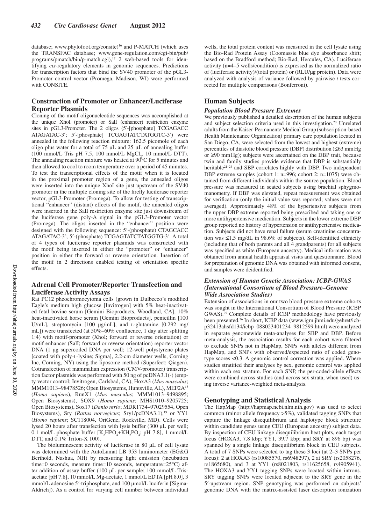database; www.phylofoot.org/consite)<sup>16</sup> and P-MATCH (which uses the TRANSFAC database; www.gene-regulation.com/cgi-bin/pub/ programs/pmatch/bin/p-match.cgi),<sup>17</sup> 2 web-based tools for identifying *cis*-regulatory elements in genomic sequences. Predictions for transcription factors that bind the SV40 promoter of the pGL3- Promoter control vector (Promega, Madison, WI) were performed with CONSITE.

## **Construction of Promoter or Enhancer/Luciferase Reporter Plasmids**

Cloning of the motif oligonucleotide sequences was accomplished at the unique XhoI (promoter) or SalI (enhancer) restriction enzyme sites in pGL3-Promoter. The 2 oligos (5′-[phosphate] TCGAGACC ATAGATAC-3′; 5′-[phosphate] TCGAGTATCTATGGTC-3′) were annealed in the following reaction mixture: 162.5 picomole of each oligo plus water for a total of 75 μL and 25 μL of annealing buffer  $(100 \text{ mmol/L}$  Tris pH 7.5, 100 mmol/L  $MgCl<sub>2</sub>$ , 10 mmol/L DTT). The annealing reaction mixture was heated at  $90^{\circ}$ C for 5 minutes and then allowed to cool to room temperature over a period of 45 minutes. To test the transcriptional effects of the motif when it is located in the proximal promoter region of a gene, the annealed oligos were inserted into the unique XhoI site just upstream of the SV40 promoter in the multiple cloning site of the firefly luciferase reporter vector, pGL3-Promoter (Promega). To allow for testing of transcriptional "enhancer" (distant) effects of the motif, the annealed oligos were inserted in the SalI restriction enzyme site just downstream of the luciferase gene poly-A signal in the pGL3-Promoter vector (Promega). The oligos inserted in the "enhancer" position were designed with the following sequence: 5′-(phosphate) CTAGCACC ATAGATAC-3′; 5′-(phosphate) TCGAGTATCTATGGTG-3′. A total of 4 types of luciferase reporter plasmids was constructed with the motif being inserted in either the "promoter" or "enhancer" position in either the forward or reverse orientation. Insertion of the motif in 2 directions enabled testing of orientation specific effects.

## **Adrenal Cell Promoter/Reporter Transfection and Luciferase Activity Assays**

Rat PC12 pheochromocytoma cells (grown in Dulbecco's modified Eagle's medium high glucose [Invitrogen] with 5% heat-inactivated fetal bovine serum [Gemini Bioproducts, Woodland, CA], 10% heat-inactivated horse serum [Gemini Bioproducts], penicillin [100 U/mL], streptomycin [100 μg/mL], and l-glutamine [0.292 mg/ mL]) were transfected (at 50%–60% confluence, 1 day after splitting 1:4) with motif-promoter (XhoI; forward or reverse orientation) or motif enhancer (SalI; forward or reverse orientation) reporter vector DNA (1 μg supercoiled DNA per well; 12-well polystyrene plates [coated with poly-l-lysine; Sigma], 2.2-cm diameter wells, Corning Inc, Corning, NY) using the liposome method (Superfect; Qiagen). Cotransfection of mammalian expression (CMV-promoter) transcription factor plasmids was performed with 50 ng of pcDNA3.1(-) (empty vector control; Invitrogen, Carlsbad, CA), HoxA3 (*Mus musculus*; MMM1013–98478526; Open Biosystems, Huntsville, AL), MEF2A18 (*Homo sapiens*), RunX1 (*Mus musculus*; MMM1013–9498895; Open Biosystems), SOX9 (*Homo sapiens;* MHS1010–9205725; Open Biosystems), Sox17 (*Danio rerio*; MDR1734–97029554, Open Biosystems), Sry (*Rattus norvegicus*; Sry1/pcDNA3.1),<sup>19</sup> or YY1 (*Homo sapiens*; SC118004, OriGene, Rockville, MD). Cells were lysed 20 hours after transfection with lysis buffer (300 μL per well; 0.1 mol/L phosphate buffer  $[K_2^HPO_4+KH_2PO_4$ ; pH 7.8], 1 mmol/L DTT, and 0.1% Triton-X 100).

The bioluminescent activity of luciferase in 80 μL of cell lysate was determined with the AutoLumat LB 953 luminometer (EG&G Berthold, Nashua, NH) by measuring light emission (incubation time=0 seconds, measure time=10 seconds, temperature=25°C) after addition of assay buffer (100 μL per sample; 100 mmol/L Trisacetate [pH 7.8], 10 mmol/L Mg-acetate, 1 mmol/L EDTA [pH 8.0], 3 mmol/L adenosine 5′-triphosphate, and 100 μmol/L luciferin [Sigma-Aldrich]). As a control for varying cell number between individual

wells, the total protein content was measured in the cell lysate using the Bio-Rad Protein Assay (Coomassie blue dye absorbance shift; based on the Bradford method; Bio-Rad, Hercules, CA). Luciferase activity (n=4–5 wells/condition) is expressed as the normalized ratio of (luciferase activity)/(total protein) or (RLU/μg protein). Data were analyzed with analysis of variance followed by pairwise *t* tests corrected for multiple comparisons (Bonferroni).

## **Human Subjects**

### *Population Blood Pressure Extremes*

We previously published a detailed description of the human subjects and subject selection criteria used in this investigation.20 Unrelated adults from the Kaiser-Permanente Medical Group (subscription-based Health Maintenance Organization) primary care population located in San Diego, CA, were selected from the lowest and highest (extreme) percentiles of diastolic blood pressure (DBP) distribution (≤63 mmHg or ≥90 mmHg); subjects were ascertained on the DBP trait, because twin and family studies provide evidence that DBP is substantially heritable<sup>21-24</sup> and SBP correlates highly with DBP. Two independent DBP extreme samples (cohort 1: n=996; cohort 2: n=1075) were obtained from different individuals within the source population. Blood pressure was measured in seated subjects using brachial sphygmomanometry. If DBP was elevated, repeat measurement was obtained for verification (only the initial value was reported; values were not averaged). Approximately 48% of the hypertensive subjects from the upper DBP extreme reported being prescribed and taking one or more antihypertensive medication. Subjects in the lower extreme DBP group reported no history of hypertension or antihypertensive medication. Subjects did not have renal failure (serum creatinine concentration was ≤1.5 mg/dL in 98.6% of subjects). Self-identified ethnicity (including that of both parents and all 4 grandparents) for all subjects was specified as white (European ancestry). Medical information was obtained from annual health appraisal visits and questionnaire. Blood for preparation of genomic DNA was obtained with informed consent, and samples were deidentified.

#### *Extension of Human Genetic Association: ICBP-GWAS (International Consortium of Blood Pressure–Genome Wide Association Studies)*

Extension of associations in our two blood pressure extreme cohorts was sought in the International Consortium of Blood Pressure (ICBP GWAS).25 Complete details of ICBP methodology have previously been presented.26 In short, ICBP data (www.igm.jhmi.edu/gehret/icbp32413ahsfd134/icbp\_088023401234–9812599.html) were analyzed in separate genomewide meta-analyses for SBP and DBP. Before meta-analysis, the association results for each cohort were filtered to exclude SNPs not in HapMap, SNPs with alleles different from HapMap, and SNPs with observed/expected ratio of coded genotype scores <0.3. A genomic control correction was applied. Where studies stratified their analyses by sex, genomic control was applied within each sex stratum. For each SNP, the per-coded-allele effects were combined across studies (and across sex strata, when used) using inverse variance-weighted meta-analysis.

## **Genotyping and Statistical Analysis**

The HapMap (http://hapmap.ncbi.nlm.nih.gov) was used to select common (minor allele frequency >5%), validated tagging SNPs that capture the linkage disequilibrium and haplotype block structure within candidate genes using CEU (European ancestry) subject data. By inspection of CEU linkage disequilibrium heat plots, each target locus (HOXA3, 7.8 kbp; YY1, 39.7 kbp; and SRY at 896 bp) was spanned by a single linkage disequilibrium block in CEU subjects. A total of 7 SNPs were selected to tag these 3 loci (at 2–3 SNPs per locus): 2 at HOXA3 (rs10085570, rs6948297), 2 at SRY (rs2058276, rs1865680), and 3 at YY1 (rs8021803, rs11625658, rs4905941). The HOXA3 and YY1 tagging SNPs were located within introns. SRY tagging SNPs were located adjacent to the SRY gene in the 5′-upstream region. SNP genotyping was performed on subjects' genomic DNA with the matrix-assisted laser desorption ionization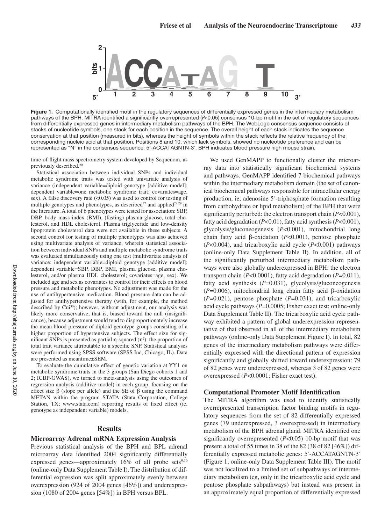

**Figure 1.** Computationally identified motif in the regulatory sequences of differentially expressed genes in the intermediary metabolism pathways of the BPH. MITRA identified a significantly overrepresented (P<0.05) consensus 10-bp motif in the set of regulatory sequences from differentially expressed genes in intermediary metabolism pathways of the BPH. The WebLogo consensus sequence consists of stacks of nucleotide symbols, one stack for each position in the sequence. The overall height of each stack indicates the sequence conservation at that position (measured in bits), whereas the height of symbols within the stack reflects the relative frequency of the corresponding nucleic acid at that position. Positions 8 and 10, which lack symbols, showed no nucleotide preference and can be represented as "N" in the consensus sequence: 5′-ACCATAGNTN-3′. BPH indicates blood pressure high mouse strain.

time-of-flight mass spectrometry system developed by Sequenom, as previously described.<sup>20</sup>

Statistical association between individual SNPs and individual metabolic syndrome traits was tested with univariate analysis of variance (independent variable=diploid genotype [additive model]; dependent variable=one metabolic syndrome trait; covariates=age, sex). A false discovery rate (<0.05) was used to control for testing of multiple genotypes and phenotypes, as described<sup>27</sup> and applied<sup>28,29</sup> in the literature. A total of 6 phenotypes were tested for association: SBP, DBP, body mass index (BMI), (fasting) plasma glucose, total cholesterol, and HDL cholesterol. Plasma triglyceride and low-density lipoprotein cholesterol data were not available in these subjects. A second control for testing of multiple phenotypes was also achieved using multivariate analysis of variance, wherein statistical association between individual SNPs and multiple metabolic syndrome traits was evaluated simultaneously using one test (multivariate analysis of variance: independent variable=diploid genotype [additive model]; dependent variable=SBP, DBP, BMI, plasma glucose, plasma cholesterol, and/or plasma HDL cholesterol; covariates=age, sex). We included age and sex as covariates to control for their effects on blood pressure and metabolic phenotypes. No adjustment was made for the use of antihypertensive medication. Blood pressure data can be adjusted for antihypertensive therapy (with, for example, the method described by Cui<sup>30</sup>); however, without adjustment, our analysis was likely more conservative, that is, biased toward the null (insignificance), because adjustment would tend to disproportionately increase the mean blood pressure of diploid genotype groups consisting of a higher proportion of hypertensive subjects. The effect size for significant SNPs is presented as partial η-squared  $(η<sup>2</sup>)$ : the proportion of total trait variance attributable to a specific SNP. Statistical analyses were performed using SPSS software (SPSS Inc, Chicago, IL). Data are presented as meantime±SEM.

To evaluate the cumulative effect of genetic variation at YY1 on metabolic syndrome traits in the 3 groups (San Diego cohorts 1 and 2; ICBP-GWAS), we turned to meta-analysis using the outcomes of regression analysis (additive model) in each group, focusing on the effect size  $\beta$  (slope per allele) and the SE of  $\beta$  using the command METAN within the program STATA (Stata Corporation, College Station, TX; www.stata.com) reporting results of fixed effect (ie, genotype as independent variable) models.

### **Results**

#### **Microarray Adrenal mRNA Expression Analysis**

Previous statistical analysis of the BPH and BPL adrenal microarray data identified 2004 significantly differentially expressed genes—approximately  $16\%$  of all probe sets<sup>9,10</sup> (online-only Data Supplement Table I). The distribution of differential expression was split approximately evenly between overexpression (924 of 2004 genes [46%]) and underexpression (1080 of 2004 genes [54%]) in BPH versus BPL.

We used GenMAPP to functionally cluster the microarray data into statistically significant biochemical systems and pathways. GenMAPP identified 7 biochemical pathways within the intermediary metabolism domain (the set of canonical biochemical pathways responsible for intracellular energy production, ie, adenosine 5′-triphosphate formation resulting from carbohydrate or lipid metabolism) of the BPH that were significantly perturbed: the electron transport chain (*P*<0.001), fatty acid degradation (*P*<0.01), fatty acid synthesis (*P*<0.001), glycolysis/gluconeogenesis (*P*<0.001), mitochondrial long chain fatty acid β-oxidation (*P*<0.001), pentose phosphate (*P*<0.004), and tricarboxylic acid cycle (*P*<0.001) pathways (online-only Data Supplement Table II). In addition, all of the significantly perturbed intermediary metabolism pathways were also globally underexpressed in BPH: the electron transport chain (*P*<0.0001), fatty acid degradation (*P*=0.011), fatty acid synthesis (*P*=0.031), glycolysis/gluconeogenesis (*P*=0.006), mitochondrial long chain fatty acid β-oxidation (*P*=0.021), pentose phosphate (*P*=0.031), and tricarboxylic acid cycle pathways (*P*=0.0005; Fisher exact test; online-only Data Supplement Table II). The tricarboxylic acid cycle pathway exhibited a pattern of global underexpression representative of that observed in all of the intermediary metabolism pathways (online-only Data Supplement Figure I). In total, 82 genes of the intermediary metabolism pathways were differentially expressed with the directional pattern of expression significantly and globally shifted toward underexpression: 79 of 82 genes were underexpressed, whereas 3 of 82 genes were overexpressed (*P*<0.0001; Fisher exact test).

#### **Computational Promoter Motif Identification**

The MITRA algorithm was used to identify statistically overrepresented transcription factor binding motifs in regulatory sequences from the set of 82 differentially expressed genes (79 underexpressed, 3 overexpressed) in intermediary metabolism of the BPH adrenal gland. MITRA identified one significantly overrepresented (*P*<0.05) 10-bp motif that was present a total of 55 times in 38 of the 82 (38 of 82 [46%]) differentially expressed metabolic genes: 5′-ACCATAGNTN-3′ (Figure 1; online-only Data Supplement Table III). The motif was not localized to a limited set of subpathways of intermediary metabolism (eg, only in the tricarboxylic acid cycle and pentose phosphate subpathways) but instead was present in an approximately equal proportion of differentially expressed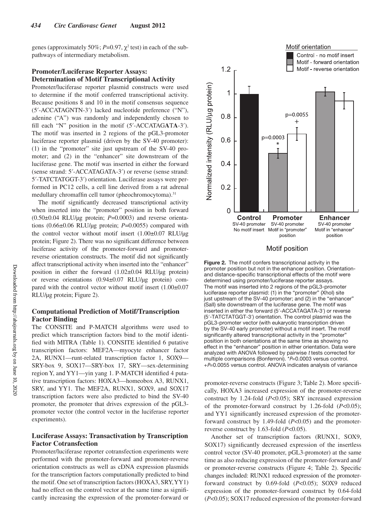genes (approximately 50%;  $P=0.97$ ,  $\chi^2$  test) in each of the subpathways of intermediary metabolism.

## **Promoter/Luciferase Reporter Assays: Determination of Motif Transcriptional Activity**

Promoter/luciferase reporter plasmid constructs were used to determine if the motif conferred transcriptional activity. Because positions 8 and 10 in the motif consensus sequence (5′-ACCATAGNTN-3′) lacked nucleotide preference ("N"), adenine ("A") was randomly and independently chosen to fill each "N" position in the motif (5′-ACCATAG**A**T**A**-3′). The motif was inserted in 2 regions of the pGL3-promoter luciferase reporter plasmid (driven by the SV-40 promoter): (1) in the "promoter" site just upstream of the SV-40 promoter; and (2) in the "enhancer" site downstream of the luciferase gene. The motif was inserted in either the forward (sense strand: 5′-ACCATAGATA-3′) or reverse (sense strand: 5′-TATCTATGGT-3′) orientation. Luciferase assays were performed in PC12 cells, a cell line derived from a rat adrenal medullary chromaffin cell tumor (pheochromocytoma).<sup>31</sup>

The motif significantly decreased transcriptional activity when inserted into the "promoter" position in both forward (0.50±0.04 RLU/μg protein; *P*=0.0003) and reverse orientations (0.66±0.06 RLU/μg protein; *P*=0.0055) compared with the control vector without motif insert (1.00±0.07 RLU/μg protein; Figure 2). There was no significant difference between luciferase activity of the promoter-forward and promoterreverse orientation constructs. The motif did not significantly affect transcriptional activity when inserted into the "enhancer" position in either the forward (1.02±0.04 RLU/μg protein) or reverse orientations (0.94±0.07 RLU/μg protein) compared with the control vector without motif insert (1.00±0.07 RLU/μg protein; Figure 2).

## **Computational Prediction of Motif/Transcription Factor Binding**

The CONSITE and P-MATCH algorithms were used to predict which transcription factors bind to the motif identified with MITRA (Table 1). CONSITE identified 6 putative transcription factors: MEF2A—myocyte enhancer factor 2A, RUNX1—runt-related transcription factor 1, SOX9— SRY-box 9, SOX17—SRY-box 17, SRY—sex-determining region Y, and YY1—yin yang 1. P-MATCH identified 4 putative transcription factors: HOXA3—homeobox A3, RUNX1, SRY, and YY1. The MEF2A, RUNX1, SOX9, and SOX17 transcription factors were also predicted to bind the SV-40 promoter, the promoter that drives expression of the pGL3 promoter vector (the control vector in the luciferase reporter experiments).

## **Luciferase Assays: Transactivation by Transcription Factor Cotransfection**

Promoter/luciferase reporter cotransfection experiments were performed with the promoter-forward and promoter-reverse orientation constructs as well as cDNA expression plasmids for the transcription factors computationally predicted to bind the motif. One set of transcription factors (HOXA3, SRY, YY1) had no effect on the control vector at the same time as significantly increasing the expression of the promoter-forward or



#### Motif position

**Figure 2.** The motif confers transcriptional activity in the promoter position but not in the enhancer position. Orientationand distance-specific transcriptional effects of the motif were determined using promoter/luciferase reporter assays. The motif was inserted into 2 regions of the pGL3-promoter luciferase reporter plasmid: (1) in the "promoter" (XhoI) site just upstream of the SV-40 promoter; and (2) in the "enhancer" (SalI) site downstream of the luciferase gene. The motif was inserted in either the forward (5′-ACCATAGATA-3′) or reverse (5′-TATCTATGGT-3′) orientation. The control plasmid was the pGL3-promoter vector (with eukaryotic transcription driven by the SV-40 early promoter) without a motif insert. The motif significantly altered transcriptional activity in the "promoter" position in both orientations at the same time as showing no effect in the "enhancer" position in either orientation. Data were analyzed with ANOVA followed by pairwise t tests corrected for multiple comparisons (Bonferroni). \*P=0.0003 versus control. +P=0.0055 versus control. ANOVA indicates analysis of variance

promoter-reverse constructs (Figure 3; Table 2). More specifically, HOXA3 increased expression of the promoter-reverse construct by 1.24-fold (*P*<0.05); SRY increased expression of the promoter-forward construct by 1.26-fold (*P*<0.05); and YY1 significantly increased expression of the promoterforward construct by 1.49-fold (*P*<0.05) and the promoterreverse construct by 1.63-fold (*P*<0.05).

Another set of transcription factors (RUNX1, SOX9, SOX17) significantly decreased expression of the insertless control vector (SV-40 promoter, pGL3-promoter) at the same time as also reducing expression of the promoter-forward and/ or promoter-reverse constructs (Figure 4; Table 2). Specific changes included: RUNX1 reduced expression of the promoterforward construct by 0.69-fold (*P*<0.05); SOX9 reduced expression of the promoter-forward construct by 0.64-fold (*P*<0.05); SOX17 reduced expression of the promoter-forward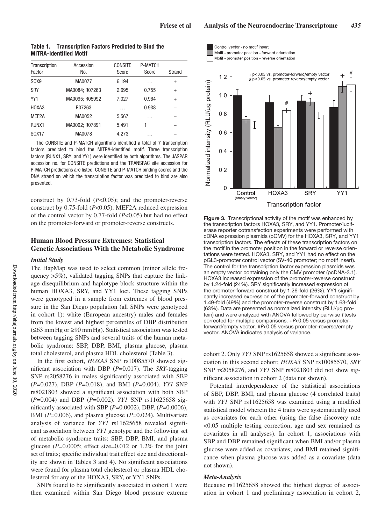| Transcription<br>Factor | Accession<br>No. | <b>CONSITE</b><br>Score | P-MATCH<br>Score | Strand |
|-------------------------|------------------|-------------------------|------------------|--------|
| SOX9                    | MA0077           | 6.194                   | .                | $^{+}$ |
| <b>SRY</b>              | MA0084; R07263   | 2.695                   | 0.755            | $^{+}$ |
| YY1                     | MA0095; R05992   | 7.027                   | 0.964            | $^{+}$ |
| HOXA3                   | R07263           | .                       | 0.938            |        |
| MEF2A                   | MA0052           | 5.567                   | .                |        |
| RUNX <sub>1</sub>       | MA0002: R07891   | 5.491                   | 1                |        |
| S0X17                   | MA0078           | 4.273                   | .                |        |

**Table 1. Transcription Factors Predicted to Bind the MITRA-Identified Motif**

The CONSITE and P-MATCH algorithms identified a total of 7 transcription factors predicted to bind the MITRA-identified motif. Three transcription factors (RUNX1, SRY, and YY1) were identified by both algorithms. The JASPAR accession no. for CONSITE predictions and the TRANSFAC site accession for P-MATCH predictions are listed. CONSITE and P-MATCH binding scores and the DNA strand on which the transcription factor was predicted to bind are also presented.

construct by 0.73-fold (*P*<0.05); and the promoter-reverse construct by 0.75-fold (*P*<0.05). MEF2A reduced expression of the control vector by 0.77-fold (*P*<0.05) but had no effect on the promoter-forward or promoter-reverse constructs.

## **Human Blood Pressure Extremes: Statistical Genetic Associations With the Metabolic Syndrome**

#### *Initial Study*

The HapMap was used to select common (minor allele frequency >5%), validated tagging SNPs that capture the linkage disequilibrium and haplotype block structure within the human HOXA3, SRY, and YY1 loci. These tagging SNPs were genotyped in a sample from extremes of blood pressure in the San Diego population (all SNPs were genotyped in cohort 1): white (European ancestry) males and females from the lowest and highest percentiles of DBP distribution (≤63 mmHg or ≥90 mmHg). Statistical association was tested between tagging SNPs and several traits of the human metabolic syndrome: SBP, DBP, BMI, plasma glucose, plasma total cholesterol, and plasma HDL cholesterol (Table 3).

In the first cohort, *HOXA3* SNP rs10085570 showed significant association with DBP (*P*=0.017). The *SRY*-tagging SNP rs2058276 in males significantly associated with SBP (*P*=0.027), DBP (*P*=0.018), and BMI (*P*=0.004). *YY1* SNP rs8021803 showed a significant association with both SBP (*P*=0.004) and DBP (*P*=0.002). *YY1* SNP rs11625658 significantly associated with SBP (*P*=0.0002), DBP, (*P*=0.0006), BMI (*P*=0.006), and plasma glucose (*P*=0.024). Multivariate analysis of variance for *YY1* rs11625658 revealed significant association between *YY1* genotype and the following set of metabolic syndrome traits: SBP, DBP, BMI, and plasma glucose ( $P=0.0005$ ; effect size= $0.012$  or 1.2% for the joint set of traits; specific individual trait effect size and directionality are shown in Tables 3 and 4). No significant associations were found for plasma total cholesterol or plasma HDL cholesterol for any of the HOXA3, SRY, or YY1 SNPs.

SNPs found to be significantly associated in cohort 1 were then examined within San Diego blood pressure extreme





**Figure 3.** Transcriptional activity of the motif was enhanced by the transcription factors HOXA3, SRY, and YY1. Promoter/luciferase reporter cotransfection experiments were performed with cDNA expression plasmids (pCMV) for the HOXA3, SRY, and YY1 transcription factors. The effects of these transcription factors on the motif in the promoter position in the forward or reverse orientations were tested. HOXA3, SRY, and YY1 had no effect on the pGL3-promoter control vector (SV-40 promoter; no motif insert). The control for the transcription factor expression plasmids was an empty vector containing only the CMV promoter (pcDNA-3.1). HOXA3 increased expression of the promoter-reverse construct by 1.24-fold (24%). SRY significantly increased expression of the promoter-forward construct by 1.26-fold (26%). YY1 significantly increased expression of the promoter-forward construct by 1.49-fold (49%) and the promoter-reverse construct by 1.63-fold (63%). Data are presented as normalized intensity (RLU/μg protein) and were analyzed with ANOVA followed by pairwise t tests corrected for multiple comparisons. +P<0.05 versus promoterforward/empty vector. #P<0.05 versus promoter-reverse/empty vector. ANOVA indicates analysis of variance.

cohort 2. Only *YY1* SNP rs1625658 showed a significant association in this second cohort; *HOXA3* SNP rs10085570, *SRY* SNP rs2058276, and *YY1* SNP rs8021803 did not show significant association in cohort 2 (data not shown).

Potential interdependence of the statistical associations of SBP, DBP, BMI, and plasma glucose (4 correlated traits) with *YY1* SNP rs11625658 was examined using a modified statistical model wherein the 4 traits were systematically used as covariates for each other (using the false discovery rate <0.05 multiple testing correction; age and sex remained as covariates in all analyses). In cohort 1, associations with SBP and DBP remained significant when BMI and/or plasma glucose were added as covariates; and BMI retained significance when plasma glucose was added as a covariate (data not shown).

## *Meta-Analysis*

Because rs11625658 showed the highest degree of association in cohort 1 and preliminary association in cohort 2,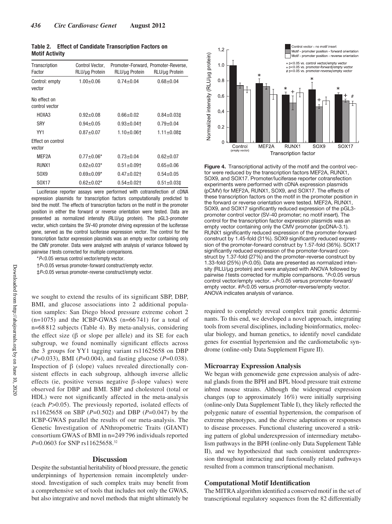| Table 2.              |  | <b>Effect of Candidate Transcription Factors on</b> |  |
|-----------------------|--|-----------------------------------------------------|--|
| <b>Motif Activity</b> |  |                                                     |  |

| Transcription<br>Factor            | Control Vector,<br>RLU/µg Protein | RLU/µg Protein    | Promoter-Forward, Promoter-Reverse,<br>RLU/µg Protein |
|------------------------------------|-----------------------------------|-------------------|-------------------------------------------------------|
| Control: empty<br>vector           | $1.00 + 0.06$                     | $0.74 + 0.04$     | $0.68 + 0.04$                                         |
| No effect on<br>control vector     |                                   |                   |                                                       |
| HOXA3                              | $0.92 + 0.08$                     | 0.66+0.02         | $0.84 \pm 0.03$                                       |
| <b>SRY</b>                         | $0.94 \pm 0.05$                   | $0.93 \pm 0.04$   | $0.79 + 0.04$                                         |
| YY1                                | $0.87 + 0.07$                     | $1.10+0.06$ t     | $1.11 \pm 0.081$                                      |
| <b>Effect on control</b><br>vector |                                   |                   |                                                       |
| MFF2A                              | $0.77 + 0.06*$                    | $0.73 + 0.04$     | $0.62 + 0.07$                                         |
| RUNX1                              | $0.62 \pm 0.03*$                  | $0.51 \pm 0.09$   | $0.65 + 0.06$                                         |
| SOX9                               | $0.69 + 0.09*$                    | $0.47 + 0.02$ †   | $0.54 \pm 0.05$                                       |
| S0X17                              | $0.62 \pm 0.02$ *                 | $0.54 \pm 0.02$ t | $0.51 \pm 0.031$                                      |

Luciferase reporter assays were performed with cotransfection of cDNA expression plasmids for transcription factors computationally predicted to bind the motif. The effects of transcription factors on the motif in the promoter position in either the forward or reverse orientation were tested. Data are presented as normalized intensity (RLU/μg protein). The pGL3-promoter vector, which contains the SV-40 promoter driving expression of the luciferase gene, served as the control luciferase expression vector. The control for the transcription factor expression plasmids was an empty vector containing only the CMV promoter. Data were analyzed with analysis of variance followed by pairwise t tests corrected for multiple comparisons.

\*P<0.05 versus control vector/empty vector.

†P<0.05 versus promoter-forward construct/empty vector.

‡P<0.05 versus promoter-reverse construct/empty vector.

we sought to extend the results of its significant SBP, DBP, BMI, and glucose associations into 2 additional population samples: San Diego blood pressure extreme cohort 2  $(n=1075)$  and the ICBP-GWAS  $(n=66741)$  for a total of n=68 812 subjects (Table 4). By meta-analysis, considering the effect size  $(\beta \text{ or slope per allele})$  and its SE for each subgroup, we found nominally significant effects across the 3 groups for YY1 tagging variant rs11625658 on DBP (*P*=0.033), BMI (*P*=0.004), and fasting glucose (*P*=0.038). Inspection of  $β$  (slope) values revealed directionally consistent effects in each subgroup, although inverse allelic effects (ie, positive versus negative β-slope values) were observed for DBP and BMI. SBP and cholesterol (total or HDL) were not significantly affected in the meta-analysis (each *P*>0.05). The previously reported, isolated effects of rs11625658 on SBP (*P*=0.502) and DBP (*P*=0.047) by the ICBP-GWAS parallel the results of our meta-analysis. The Genetic Investigation of ANthropometric Traits (GIANT) consortium GWAS of BMI in n=249 796 individuals reported *P*=0.0603 for SNP rs11625658.32

## **Discussion**

Despite the substantial heritability of blood pressure, the genetic underpinnings of hypertension remain incompletely understood. Investigation of such complex traits may benefit from a comprehensive set of tools that includes not only the GWAS, but also integrative and novel methods that might ultimately be



**Figure 4.** Transcriptional activity of the motif and the control vector were reduced by the transcription factors MEF2A, RUNX1, SOX9, and SOX17. Promoter/luciferase reporter cotransfection experiments were performed with cDNA expression plasmids (pCMV) for MEF2A, RUNX1, SOX9, and SOX17. The effects of these transcription factors on the motif in the promoter position in the forward or reverse orientation were tested. MEF2A, RUNX1, SOX9, and SOX17 significantly reduced expression of the pGL3 promoter control vector (SV-40 promoter; no motif insert). The control for the transcription factor expression plasmids was an empty vector containing only the CMV promoter (pcDNA-3.1). RUNX1 significantly reduced expression of the promoter-forward construct by 1.45-fold (31%). SOX9 significantly reduced expression of the promoter-forward construct by 1.57-fold (36%). SOX17 significantly reduced expression of the promoter-forward construct by 1.37-fold (27%) and the promoter-reverse construct by 1.33-fold (25%) (P<0.05). Data are presented as normalized intensity (RLU/μg protein) and were analyzed with ANOVA followed by pairwise t tests corrected for multiple comparisons. \*P<0.05 versus control vector/empty vector. +P<0.05 versus promoter-forward/ empty vector. #P<0.05 versus promoter-reverse/empty vector. ANOVA indicates analysis of variance.

required to completely reveal complex trait genetic determinants. To this end, we developed a novel approach, integrating tools from several disciplines, including bioinformatics, molecular biology, and human genetics, to identify novel candidate genes for essential hypertension and the cardiometabolic syndrome (online-only Data Supplement Figure II).

#### **Microarray Expression Analysis**

We began with genomewide gene expression analysis of adrenal glands from the BPH and BPL blood pressure trait extreme inbred mouse strains. Although the widespread expression changes (up to approximately 16%) were initially surprising (online-only Data Supplement Table I), they likely reflected the polygenic nature of essential hypertension, the comparison of extreme phenotypes, and the diverse adaptations or responses to disease processes. Functional clustering uncovered a striking pattern of global underexpression of intermediary metabolism pathways in the BPH (online-only Data Supplement Table II), and we hypothesized that such consistent underexpression throughout interacting and functionally related pathways resulted from a common transcriptional mechanism.

#### **Computational Motif Identification**

The MITRA algorithm identified a conserved motif in the set of transcriptional regulatory sequences from the 82 differentially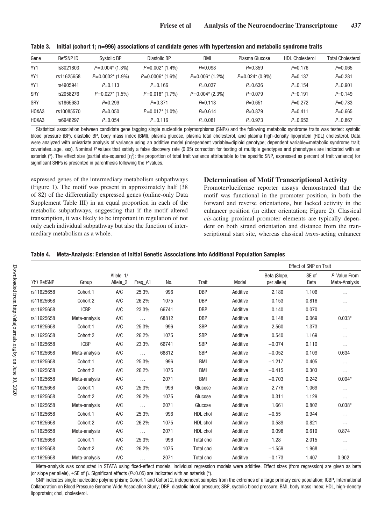| Gene       | RefSNP ID  | Systolic BP        | Diastolic BP       | <b>BMI</b>            | Plasma Glucose    | <b>HDL Cholesterol</b> | <b>Total Cholesterol</b> |
|------------|------------|--------------------|--------------------|-----------------------|-------------------|------------------------|--------------------------|
| YY1        | rs8021803  | $P=0.004*$ (1.3%)  | $P=0.002*$ (1.4%)  | $P=0.098$             | $P=0.359$         | $P=0.176$              | $P=0.065$                |
| YY1        | rs11625658 | $P=0.0002*$ (1.9%) | $P=0.0006*$ (1.6%) | $P = 0.006*$ (1.2%)   | $P=0.024*(0.9\%)$ | $P=0.137$              | $P=0.281$                |
| YY1        | rs4905941  | $P=0.113$          | $P = 0.166$        | $P = 0.037$           | $P = 0.636$       | $P=0.154$              | $P=0.901$                |
| <b>SRY</b> | rs2058276  | $P=0.027*$ (1.5%)  | $P=0.018*$ (1.7%)  | $P = 0.004$ $(2.3\%)$ | $P=0.079$         | $P=0.191$              | $P=0.149$                |
| <b>SRY</b> | rs1865680  | $P=0.299$          | $P = 0.371$        | $P=0.113$             | $P=0.651$         | $P=0.272$              | $P=0.733$                |
| HOXA3      | rs10085570 | $P = 0.050$        | $P=0.017*$ (1.0%)  | $P=0.614$             | $P=0.879$         | $P=0.411$              | $P=0.665$                |
| HOXA3      | rs6948297  | $P=0.054$          | $P = 0.116$        | $P=0.081$             | $P=0.973$         | $P=0.652$              | $P=0.867$                |

**Table 3. Initial (cohort 1; n=996) associations of candidate genes with hypertension and metabolic syndrome traits**

Statistical association between candidate gene tagging single nucleotide polymorphisms (SNPs) and the following metabolic syndrome traits was tested: systolic blood pressure (BP), diastolic BP, body mass index (BMI), plasma glucose, plasma total cholesterol, and plasma high-density lipoprotein (HDL) cholesterol. Data were analyzed with univariate analysis of variance using an additive model (independent variable=diploid genotype; dependent variable=metabolic syndrome trait; covariates=age, sex). Nominal P values that satisfy a false discovery rate (0.05) correction for testing of multiple genotypes and phenotypes are indicated with an asterisk (\*). The effect size (partial eta-squared [η<sup>2</sup>]: the proportion of total trait variance attributable to the specific SNP, expressed as percent of trait variance) for significant SNPs is presented in parenthesis following the P values.

expressed genes of the intermediary metabolism subpathways (Figure 1). The motif was present in approximately half (38 of 82) of the differentially expressed genes (online-only Data Supplement Table III) in an equal proportion in each of the metabolic subpathways, suggesting that if the motif altered transcription, it was likely to be important in regulation of not only each individual subpathway but also the function of intermediary metabolism as a whole.

## **Determination of Motif Transcriptional Activity**

Promoter/luciferase reporter assays demonstrated that the motif was functional in the promoter position, in both the forward and reverse orientations, but lacked activity in the enhancer position (in either orientation; Figure 2). Classical *cis*-acting proximal promoter elements are typically dependent on both strand orientation and distance from the transcriptional start site, whereas classical *trans*-acting enhancer

|  | Table 4. | Meta-Analysis: Extension of Initial Genetic Associations Into Additional Population Samples |  |  |
|--|----------|---------------------------------------------------------------------------------------------|--|--|
|--|----------|---------------------------------------------------------------------------------------------|--|--|

|            |               |                       |          |       |                   |          | <b>Effect of SNP on Trait</b> |                      |                               |
|------------|---------------|-----------------------|----------|-------|-------------------|----------|-------------------------------|----------------------|-------------------------------|
| YY1 RefSNP | Group         | Allele_1/<br>Allele_2 | Freq_A1  | No.   | Trait             | Model    | Beta (Slope,<br>per allele)   | SE of<br><b>Beta</b> | P Value From<br>Meta-Analysis |
| rs11625658 | Cohort 1      | A/C                   | 25.3%    | 996   | <b>DBP</b>        | Additive | 2.180                         | 1.106                | .                             |
| rs11625658 | Cohort 2      | A/C                   | 26.2%    | 1075  | <b>DBP</b>        | Additive | 0.153                         | 0.816                | .                             |
| rs11625658 | <b>ICBP</b>   | A/C                   | 23.3%    | 66741 | <b>DBP</b>        | Additive | 0.140                         | 0.070                | .                             |
| rs11625658 | Meta-analysis | A/C                   | $\cdots$ | 68812 | <b>DBP</b>        | Additive | 0.148                         | 0.069                | $0.033*$                      |
| rs11625658 | Cohort 1      | A/C                   | 25.3%    | 996   | <b>SBP</b>        | Additive | 2.560                         | 1.373                | .                             |
| rs11625658 | Cohort 2      | A/C                   | 26.2%    | 1075  | <b>SBP</b>        | Additive | 0.540                         | 1.169                | .                             |
| rs11625658 | <b>ICBP</b>   | A/C                   | 23.3%    | 66741 | <b>SBP</b>        | Additive | $-0.074$                      | 0.110                | .                             |
| rs11625658 | Meta-analysis | A/C                   | $\cdots$ | 68812 | <b>SBP</b>        | Additive | $-0.052$                      | 0.109                | 0.634                         |
| rs11625658 | Cohort 1      | AC                    | 25.3%    | 996   | <b>BMI</b>        | Additive | $-1.217$                      | 0.405                | .                             |
| rs11625658 | Cohort 2      | A/C                   | 26.2%    | 1075  | <b>BMI</b>        | Additive | $-0.415$                      | 0.303                | .                             |
| rs11625658 | Meta-analysis | A/C                   | $\cdots$ | 2071  | <b>BMI</b>        | Additive | $-0.703$                      | 0.242                | $0.004*$                      |
| rs11625658 | Cohort 1      | A/C                   | 25.3%    | 996   | Glucose           | Additive | 2.776                         | 1.069                | .                             |
| rs11625658 | Cohort 2      | A/C                   | 26.2%    | 1075  | Glucose           | Additive | 0.311                         | 1.129                | .                             |
| rs11625658 | Meta-analysis | AC                    | $\cdots$ | 2071  | Glucose           | Additive | 1.661                         | 0.802                | $0.038*$                      |
| rs11625658 | Cohort 1      | A/C                   | 25.3%    | 996   | HDL chol          | Additive | $-0.55$                       | 0.944                | .                             |
| rs11625658 | Cohort 2      | A/C                   | 26.2%    | 1075  | HDL chol          | Additive | 0.589                         | 0.821                | .                             |
| rs11625658 | Meta-analysis | AC                    | $\cdots$ | 2071  | HDL chol          | Additive | 0.098                         | 0.619                | 0.874                         |
| rs11625658 | Cohort 1      | A/C                   | 25.3%    | 996   | <b>Total chol</b> | Additive | 1.28                          | 2.015                | .                             |
| rs11625658 | Cohort 2      | A/C                   | 26.2%    | 1075  | <b>Total chol</b> | Additive | $-1.559$                      | 1.968                | .                             |
| rs11625658 | Meta-analysis | A/C                   | .        | 2071  | <b>Total chol</b> | Additive | $-0.173$                      | 1.407                | 0.902                         |

Meta-analysis was conducted in STATA using fixed-effect models. Individual regression models were additive. Effect sizes (from regression) are given as beta (or slope per allele),  $\pm$ SE of  $\beta$ . Significant effects (P<0.05) are indicated with an asterisk (\*).

SNP indicates single nucleotide polymorphism; Cohort 1 and Cohort 2, independent samples from the extremes of a large primary care population; ICBP, International Collaboration on Blood Pressure Genome Wide Association Study; DBP, diastolic blood pressure; SBP, systolic blood pressure; BMI, body mass index; HDL, high-density lipoprotein; chol, cholesterol.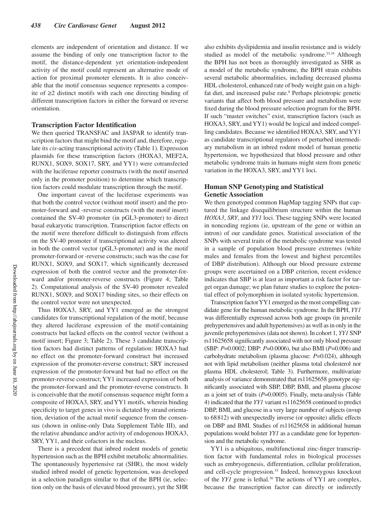elements are independent of orientation and distance. If we assume the binding of only one transcription factor to the motif, the distance-dependent yet orientation-independent activity of the motif could represent an alternative mode of action for proximal promoter elements. It is also conceivable that the motif consensus sequence represents a composite of ≥2 distinct motifs with each one directing binding of different transcription factors in either the forward or reverse orientation.

#### **Transcription Factor Identification**

We then queried TRANSFAC and JASPAR to identify transcription factors that might bind the motif and, therefore, regulate its *cis*-acting transcriptional activity (Table 1). Expression plasmids for these transcription factors (HOXA3, MEF2A, RUNX1, SOX9, SOX17, SRY, and YY1) were cotransfected with the luciferase reporter constructs (with the motif inserted only in the promoter position) to determine which transcription factors could modulate transcription through the motif.

One important caveat of the luciferase experiments was that both the control vector (without motif insert) and the promoter-forward and -reverse constructs (with the motif insert) contained the SV-40 promoter (in pGL3-promoter) to direct basal eukaryotic transcription. Transcription factor effects on the motif were therefore difficult to distinguish from effects on the SV-40 promoter if transcriptional activity was altered in both the control vector (pGL3-promoter) and in the motif promoter-forward or -reverse constructs; such was the case for RUNX1, SOX9, and SOX17, which significantly decreased expression of both the control vector and the promoter-forward and/or promoter-reverse constructs (Figure 4; Table 2). Computational analysis of the SV-40 promoter revealed RUNX1, SOX9, and SOX17 binding sites, so their effects on the control vector were not unexpected.

Thus HOXA3, SRY, and YY1 emerged as the strongest candidates for transcriptional regulation of the motif, because they altered luciferase expression of the motif-containing constructs but lacked effects on the control vector (without a motif insert; Figure 3; Table 2). These 3 candidate transcription factors had distinct patterns of regulation: HOXA3 had no effect on the promoter-forward construct but increased expression of the promoter-reverse construct; SRY increased expression of the promoter-forward but had no effect on the promoter-reverse construct; YY1 increased expression of both the promoter-forward and the promoter-reverse constructs. It is conceivable that the motif consensus sequence might form a composite of HOXA3, SRY, and YY1 motifs, wherein binding specificity to target genes in vivo is dictated by strand orientation, deviation of the actual motif sequence from the consensus (shown in online-only Data Supplement Table III), and the relative abundance and/or activity of endogenous HOXA3, SRY, YY1, and their cofactors in the nucleus.

There is a precedent that inbred rodent models of genetic hypertension such as the BPH exhibit metabolic abnormalities. The spontaneously hypertensive rat (SHR), the most widely studied inbred model of genetic hypertension, was developed in a selection paradigm similar to that of the BPH (ie, selection only on the basis of elevated blood pressure), yet the SHR also exhibits dyslipidemia and insulin resistance and is widely studied as model of the metabolic syndrome.<sup>33,34</sup> Although the BPH has not been as thoroughly investigated as SHR as a model of the metabolic syndrome, the BPH strain exhibits several metabolic abnormalities, including decreased plasma HDL cholesterol, enhanced rate of body weight gain on a highfat diet, and increased pulse rate.<sup>8</sup> Perhaps pleiotropic genetic variants that affect both blood pressure and metabolism were fixed during the blood pressure selection program for the BPH. If such "master switches" exist, transcription factors (such as HOXA3, SRY, and YY1) would be logical and indeed compelling candidates. Because we identified HOXA3, SRY, and YY1 as candidate transcriptional regulators of perturbed intermediary metabolism in an inbred rodent model of human genetic hypertension, we hypothesized that blood pressure and other metabolic syndrome traits in humans might stem from genetic variation in the HOXA3, SRY, and YY1 loci.

## **Human SNP Genotyping and Statistical Genetic Association**

We then genotyped common HapMap tagging SNPs that captured the linkage disequilibrium structure within the human *HOXA3*, *SRY*, and *YY1* loci. These tagging SNPs were located in noncoding regions (ie, upstream of the gene or within an intron) of our candidate genes. Statistical association of the SNPs with several traits of the metabolic syndrome was tested in a sample of population blood pressure extremes (white males and females from the lowest and highest percentiles of DBP distribution). Although our blood pressure extreme groups were ascertained on a DBP criterion, recent evidence indicates that SBP is at least as important a risk factor for target organ damage; we plan future studies to explore the potential effect of polymorphism in isolated systolic hypertension.

Transcription factor YY1 emerged as the most compelling candidate gene for the human metabolic syndrome. In the BPH, *YY1* was differentially expressed across both age groups (in juvenile prehypertensives and adult hypertensives) as well as in only in the juvenile prehypertensives (data not shown). In cohort 1, *YY1* SNP rs11625658 significantly associated with not only blood pressure (SBP: *P*=0.0002; DBP: *P*=0.0006), but also BMI (*P*=0.006) and carbohydrate metabolism (plasma glucose: *P*=0.024), although not with lipid metabolism (neither plasma total cholesterol nor plasma HDL cholesterol; Table 3). Furthermore, multivariate analysis of variance demonstrated that rs11625658 genotype significantly associated with SBP, DBP, BMI, and plasma glucose as a joint set of traits (*P*=0.0005). Finally, meta-analysis (Table 4) indicated that the *YY1* variant rs11625658 continued to predict DBP, BMI, and glucose in a very large number of subjects (n=up) to 68812) with unexpectedly inverse (or opposite) allelic effects on DBP and BMI. Studies of rs11625658 in additional human populations would bolster *YY1* as a candidate gene for hypertension and the metabolic syndrome.

YY1 is a ubiquitous, multifunctional zinc-finger transcription factor with fundamental roles in biological processes such as embryogenesis, differentiation, cellular proliferation, and cell-cycle progression.<sup>35</sup> Indeed, homozygous knockout of the *YY1* gene is lethal.<sup>36</sup> The actions of YY1 are complex, because the transcription factor can directly or indirectly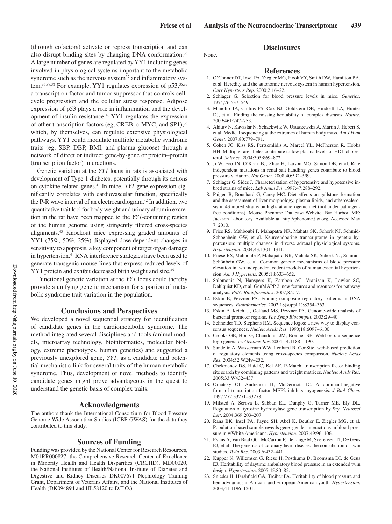**Disclosures**

(through cofactors) activate or repress transcription and can also disrupt binding sites by changing DNA conformation.<sup>35</sup> A large number of genes are regulated by YY1 including genes involved in physiological systems important to the metabolic syndrome such as the nervous system<sup>37</sup> and inflammatory system.<sup>35,37,38</sup> For example, YY1 regulates expression of p53,<sup>35,39</sup> a transcription factor and tumor suppressor that controls cellcycle progression and the cellular stress response. Adipose expression of p53 plays a role in inflammation and the development of insulin resistance.40 YY1 regulates the expression of other transcription factors (eg, CREB, c-MYC, and SP1),<sup>35</sup> which, by themselves, can regulate extensive physiological pathways. YY1 could modulate multiple metabolic syndrome traits (eg, SBP, DBP, BMI, and plasma glucose) through a network of direct or indirect gene-by-gene or protein–protein (transcription factor) interactions.

Genetic variation at the *YY1* locus in rats is associated with development of Type 1 diabetes, potentially through its actions on cytokine-related genes.41 In mice, *YY1* gene expression significantly correlates with cardiovascular function, specifically the P-R wave interval of an electrocardiogram.42 In addition, two quantitative trait loci for body weight and urinary albumin excretion in the rat have been mapped to the *YY1*-containing region of the human genome using stringently filtered cross-species alignments.43 Knockout mice expressing graded amounts of YY1 (75%, 50%, 25%) displayed dose-dependent changes in sensitivity to apoptosis, a key component of target organ damage in hypertension.44 RNA interference strategies have been used to generate transgenic mouse lines that express reduced levels of YY1 protein and exhibit decreased birth weight and size.<sup>45</sup>

Functional genetic variation at the *YY1* locus could thereby provide a unifying genetic mechanism for a portion of metabolic syndrome trait variation in the population.

#### **Conclusions and Perspectives**

We developed a novel sequential strategy for identification of candidate genes in the cardiometabolic syndrome. The method integrated several disciplines and tools (animal models, microarray technology, bioinformatics, molecular biology, extreme phenotypes, human genetics) and suggested a previously unexplored gene, *YY1,* as a candidate and potential mechanistic link for several traits of the human metabolic syndrome. Thus, development of novel methods to identify candidate genes might prove advantageous in the quest to understand the genetic basis of complex traits.

### **Acknowledgments**

The authors thank the International Consortium for Blood Pressure Genome Wide Association Studies (ICBP-GWAS) for the data they contributed to this study.

#### **Sources of Funding**

Funding was provided by the National Center for Research Resources, M01RR000827, the Comprehensive Research Center of Excellence in Minority Health and Health Disparities (CRCHD), MD00020, the National Institutes of Health/National Institute of Diabetes and Digestive and Kidney Diseases DK007671 Nephrology Training Grant, Department of Veterans Affairs, and the National Institutes of Health (DK094894 and HL58120 to D.T.O.).

None.

#### **References**

- 1. O'Connor DT, Insel PA, Ziegler MG, Hook VY, Smith DW, Hamilton BA, et al. Heredity and the autonomic nervous system in human hypertension. *Curr Hypertens Rep*. 2000;2:16–22.
- 2. Schlager G. Selection for blood pressure levels in mice. *Genetics*. 1974;76:537–549.
- 3. Manolio TA, Collins FS, Cox NJ, Goldstein DB, Hindorff LA, Hunter DJ, et al. Finding the missing heritability of complex diseases. *Nature*. 2009;461:747–753.
- 4. Ahituv N, Kavaslar N, Schackwitz W, Ustaszewska A, Martin J, Hebert S, et al. Medical sequencing at the extremes of human body mass. *Am J Hum Genet*. 2007;80:779–791.
- 5. Cohen JC, Kiss RS, Pertsemlidis A, Marcel YL, McPherson R, Hobbs HH. Multiple rare alleles contribute to low plasma levels of HDL cholesterol. *Science*. 2004;305:869–872.
- 6. Ji W, Foo JN, O'Roak BJ, Zhao H, Larson MG, Simon DB, et al. Rare independent mutations in renal salt handling genes contribute to blood pressure variation. *Nat Genet*. 2008;40:592–599.
- 7. Schlager G, Sides J. Characterization of hypertensive and hypotensive inbred strains of mice. *Lab Anim Sci*. 1997;47:288–292.
- 8. Paigen B, Bouchard G, Carey MC. Diet effects on gallstone formation and the assessment of liver morphology, plasma lipids, and atherosclerosis in 43 inbred strains on high-fat atherogenic diet (not under pathogenfree conditions). Mouse Phenome Database Website. Bar Harbor, ME: Jackson Laboratory. Available at: http://phenome.jax.org. Accessed May 7, 2010.
- 9. Fries RS, Mahboubi P, Mahapatra NR, Mahata SK, Schork NJ, Schmid-Schoenbein GW, et al. Neuroendocrine transcriptome in genetic hypertension: multiple changes in diverse adrenal physiological systems. *Hypertension*. 2004;43:1301–1311.
- 10. Friese RS, Mahboubi P, Mahapatra NR, Mahata SK, Schork NJ, Schmid-Schönbein GW, et al. Common genetic mechanisms of blood pressure elevation in two independent rodent models of human essential hypertension. *Am J Hypertens*. 2005;18:633–652.
- 11. Salomonis N, Hanspers K, Zambon AC, Vranizan K, Lawlor SC, Dahlquist KD, et al. GenMAPP 2: new features and resources for pathway analysis. *BMC Bioinformatics*. 2007;8:217.
- 12. Eskin E, Pevzner PA. Finding composite regulatory patterns in DNA sequences. *Bioinformatics*. 2002;18(suppl 1):S354–363.
- 13. Eskin E, Keich U, Gelfand MS, Pevzner PA. Genome-wide analysis of bacterial promoter regions. *Pac Symp Biocomput*. 2003:29–40.
- 14. Schneider TD, Stephens RM. Sequence logos: a new way to display consensus sequences. *Nucleic Acids Res*. 1990;18:6097–6100.
- 15. Crooks GE, Hon G, Chandonia JM, Brenner SE. WebLogo: a sequence logo generator. *Genome Res*. 2004;14:1188–1190.
- 16. Sandelin A, Wasserman WW, Lenhard B. ConSite: web-based prediction of regulatory elements using cross-species comparison. *Nucleic Acids Res*. 2004;32:W249–252.
- 17. Chekmenev DS, Haid C, Kel AE. P-Match: transcription factor binding site search by combining patterns and weight matrices. *Nucleic Acids Res*. 2005;33:W432–437.
- 18. Ornatsky OI, Andreucci JJ, McDermott JC. A dominant-negative form of transcription factor MEF2 inhibits myogenesis. *J Biol Chem*. 1997;272:33271–33278.
- 19. Milsted A, Serova L, Sabban EL, Dunphy G, Turner ME, Ely DL. Regulation of tyrosine hydroxylase gene transcription by Sry. *Neurosci Lett*. 2004;369:203–207.
- 20. Rana BK, Insel PA, Payne SH, Abel K, Beutler E, Ziegler MG, et al. Population-based sample reveals gene–gender interactions in blood pressure in wWhite Americans. *Hypertension*. 2007;49:96–106.
- 21. Evans A, Van Baal GC, McCarron P, DeLange M, Soerensen TI, De Geus EJ, et al. The genetics of coronary heart disease: the contribution of twin studies. *Twin Res*. 2003;6:432–441.
- 22. Kupper N, Willemsen G, Riese H, Posthuma D, Boomsma DI, de Geus EJ. Heritability of daytime ambulatory blood pressure in an extended twin design. *Hypertension*. 2005;45:80–85.
- 23. Snieder H, Harshfield GA, Treiber FA. Heritability of blood pressure and hemodynamics in African- and European-American youth. *Hypertension*. 2003;41:1196–1201.